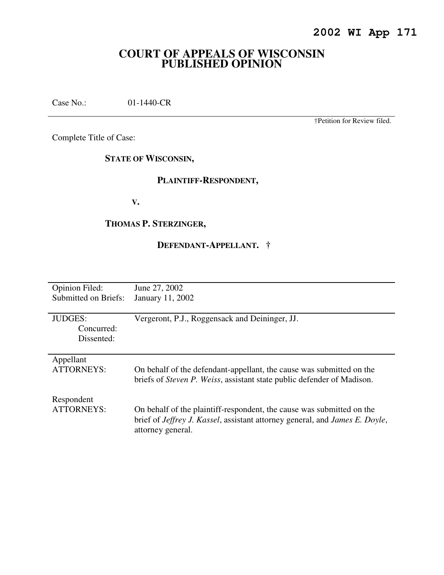# **COURT OF APPEALS OF WISCONSIN PUBLISHED OPINION**

Case No.: 01-1440-CR

†Petition for Review filed.

Complete Title of Case:

**STATE OF WISCONSIN,** 

## **PLAINTIFF-RESPONDENT,**

 **V.** 

# **THOMAS P. STERZINGER,**

# **DEFENDANT-APPELLANT. †**

| <b>Opinion Filed:</b> | June 27, 2002                                                                               |
|-----------------------|---------------------------------------------------------------------------------------------|
| Submitted on Briefs:  | January 11, 2002                                                                            |
|                       |                                                                                             |
| <b>JUDGES:</b>        | Vergeront, P.J., Roggensack and Deininger, JJ.                                              |
| Concurred:            |                                                                                             |
| Dissented:            |                                                                                             |
|                       |                                                                                             |
| Appellant             |                                                                                             |
| <b>ATTORNEYS:</b>     | On behalf of the defendant-appellant, the cause was submitted on the                        |
|                       | briefs of <i>Steven P. Weiss</i> , assistant state public defender of Madison.              |
|                       |                                                                                             |
| Respondent            |                                                                                             |
| ATTORNEYS:            | On behalf of the plaintiff-respondent, the cause was submitted on the                       |
|                       | brief of <i>Jeffrey J. Kassel</i> , assistant attorney general, and <i>James E. Doyle</i> , |
|                       | attorney general.                                                                           |
|                       |                                                                                             |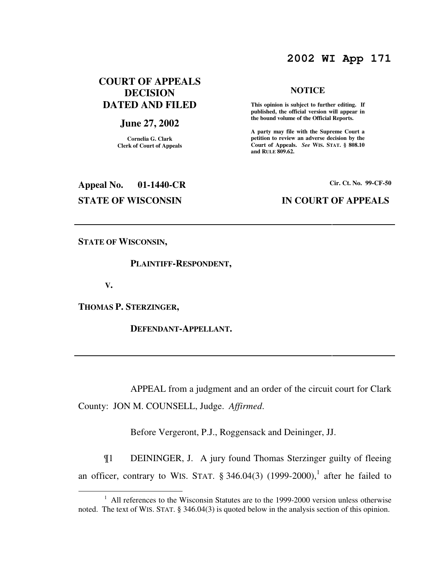# **2002 WI App 171**

## **COURT OF APPEALS DECISION DATED AND FILED**

## **June 27, 2002**

**Cornelia G. Clark Clerk of Court of Appeals**

# **NOTICE**

 **This opinion is subject to further editing. If published, the official version will appear in the bound volume of the Official Reports.** 

**A party may file with the Supreme Court a petition to review an adverse decision by the Court of Appeals.** *See* **WIS. STAT. § 808.10 and RULE 809.62.** 

# **Appeal No. 01-1440-CR Cir. Ct. No. 99-CF-50 STATE OF WISCONSIN IN COURT OF APPEALS**

**STATE OF WISCONSIN,** 

### **PLAINTIFF-RESPONDENT,**

 **V.** 

 $\overline{a}$ 

**THOMAS P. STERZINGER,** 

 **DEFENDANT-APPELLANT.** 

 APPEAL from a judgment and an order of the circuit court for Clark County: JON M. COUNSELL, Judge. *Affirmed*.

Before Vergeront, P.J., Roggensack and Deininger, JJ.

¶1 DEININGER, J. A jury found Thomas Sterzinger guilty of fleeing an officer, contrary to WIS. STAT.  $\S$  346.04(3) (1999-2000),<sup>1</sup> after he failed to

<sup>&</sup>lt;sup>1</sup> All references to the Wisconsin Statutes are to the 1999-2000 version unless otherwise noted. The text of WIS. STAT. § 346.04(3) is quoted below in the analysis section of this opinion.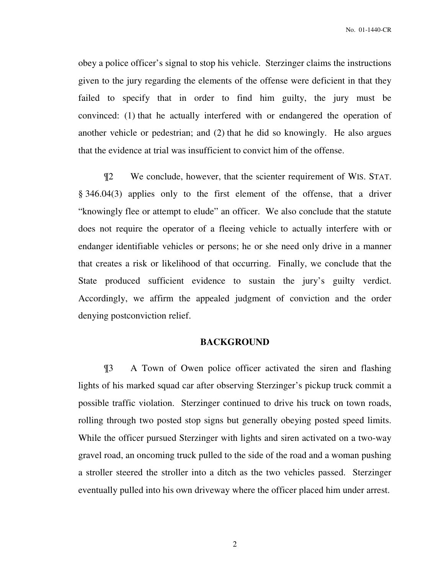obey a police officer's signal to stop his vehicle. Sterzinger claims the instructions given to the jury regarding the elements of the offense were deficient in that they failed to specify that in order to find him guilty, the jury must be convinced: (1) that he actually interfered with or endangered the operation of another vehicle or pedestrian; and (2) that he did so knowingly. He also argues that the evidence at trial was insufficient to convict him of the offense.

¶2 We conclude, however, that the scienter requirement of WIS. STAT. § 346.04(3) applies only to the first element of the offense, that a driver "knowingly flee or attempt to elude" an officer. We also conclude that the statute does not require the operator of a fleeing vehicle to actually interfere with or endanger identifiable vehicles or persons; he or she need only drive in a manner that creates a risk or likelihood of that occurring. Finally, we conclude that the State produced sufficient evidence to sustain the jury's guilty verdict. Accordingly, we affirm the appealed judgment of conviction and the order denying postconviction relief.

## **BACKGROUND**

¶3 A Town of Owen police officer activated the siren and flashing lights of his marked squad car after observing Sterzinger's pickup truck commit a possible traffic violation. Sterzinger continued to drive his truck on town roads, rolling through two posted stop signs but generally obeying posted speed limits. While the officer pursued Sterzinger with lights and siren activated on a two-way gravel road, an oncoming truck pulled to the side of the road and a woman pushing a stroller steered the stroller into a ditch as the two vehicles passed. Sterzinger eventually pulled into his own driveway where the officer placed him under arrest.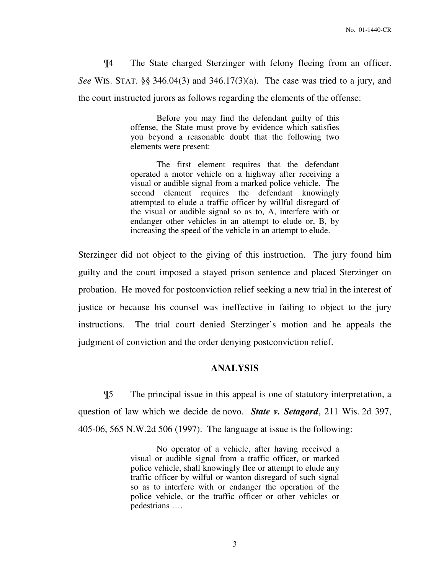¶4 The State charged Sterzinger with felony fleeing from an officer. *See* WIS. STAT. §§ 346.04(3) and 346.17(3)(a). The case was tried to a jury, and the court instructed jurors as follows regarding the elements of the offense:

> Before you may find the defendant guilty of this offense, the State must prove by evidence which satisfies you beyond a reasonable doubt that the following two elements were present:

> The first element requires that the defendant operated a motor vehicle on a highway after receiving a visual or audible signal from a marked police vehicle. The second element requires the defendant knowingly attempted to elude a traffic officer by willful disregard of the visual or audible signal so as to, A, interfere with or endanger other vehicles in an attempt to elude or, B, by increasing the speed of the vehicle in an attempt to elude.

Sterzinger did not object to the giving of this instruction. The jury found him guilty and the court imposed a stayed prison sentence and placed Sterzinger on probation. He moved for postconviction relief seeking a new trial in the interest of justice or because his counsel was ineffective in failing to object to the jury instructions. The trial court denied Sterzinger's motion and he appeals the judgment of conviction and the order denying postconviction relief.

## **ANALYSIS**

¶5 The principal issue in this appeal is one of statutory interpretation, a question of law which we decide de novo. *State v. Setagord*, 211 Wis. 2d 397, 405-06, 565 N.W.2d 506 (1997). The language at issue is the following:

> No operator of a vehicle, after having received a visual or audible signal from a traffic officer, or marked police vehicle, shall knowingly flee or attempt to elude any traffic officer by wilful or wanton disregard of such signal so as to interfere with or endanger the operation of the police vehicle, or the traffic officer or other vehicles or pedestrians ….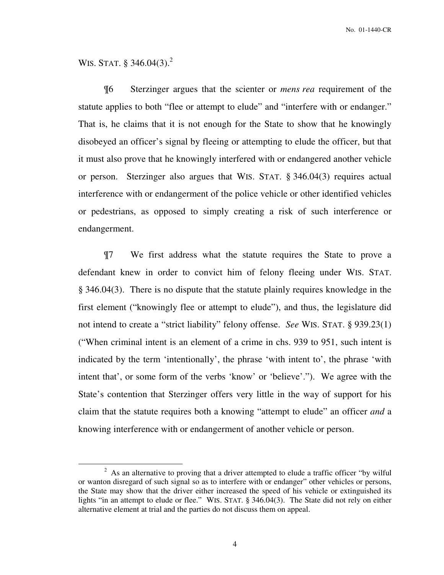No. 01-1440-CR

# WIS. STAT.  $§$  346.04(3).<sup>2</sup>

 $\overline{a}$ 

¶6 Sterzinger argues that the scienter or *mens rea* requirement of the statute applies to both "flee or attempt to elude" and "interfere with or endanger." That is, he claims that it is not enough for the State to show that he knowingly disobeyed an officer's signal by fleeing or attempting to elude the officer, but that it must also prove that he knowingly interfered with or endangered another vehicle or person. Sterzinger also argues that WIS. STAT. § 346.04(3) requires actual interference with or endangerment of the police vehicle or other identified vehicles or pedestrians, as opposed to simply creating a risk of such interference or endangerment.

¶7 We first address what the statute requires the State to prove a defendant knew in order to convict him of felony fleeing under WIS. STAT. § 346.04(3). There is no dispute that the statute plainly requires knowledge in the first element ("knowingly flee or attempt to elude"), and thus, the legislature did not intend to create a "strict liability" felony offense. *See* WIS. STAT. § 939.23(1) ("When criminal intent is an element of a crime in chs. 939 to 951, such intent is indicated by the term 'intentionally', the phrase 'with intent to', the phrase 'with intent that', or some form of the verbs 'know' or 'believe'."). We agree with the State's contention that Sterzinger offers very little in the way of support for his claim that the statute requires both a knowing "attempt to elude" an officer *and* a knowing interference with or endangerment of another vehicle or person.

 $2$  As an alternative to proving that a driver attempted to elude a traffic officer "by wilful or wanton disregard of such signal so as to interfere with or endanger" other vehicles or persons, the State may show that the driver either increased the speed of his vehicle or extinguished its lights "in an attempt to elude or flee." WIS. STAT. § 346.04(3). The State did not rely on either alternative element at trial and the parties do not discuss them on appeal.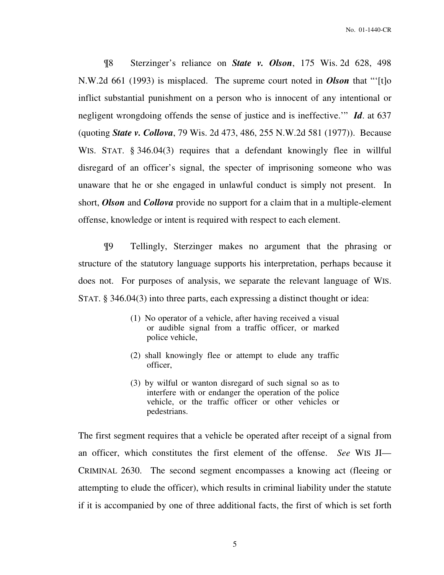¶8 Sterzinger's reliance on *State v. Olson*, 175 Wis. 2d 628, 498 N.W.2d 661 (1993) is misplaced. The supreme court noted in *Olson* that "'[t]o inflict substantial punishment on a person who is innocent of any intentional or negligent wrongdoing offends the sense of justice and is ineffective.'" *Id*. at 637 (quoting *State v. Collova*, 79 Wis. 2d 473, 486, 255 N.W.2d 581 (1977)). Because WIS. STAT. § 346.04(3) requires that a defendant knowingly flee in willful disregard of an officer's signal, the specter of imprisoning someone who was unaware that he or she engaged in unlawful conduct is simply not present. In short, *Olson* and *Collova* provide no support for a claim that in a multiple-element offense, knowledge or intent is required with respect to each element.

¶9 Tellingly, Sterzinger makes no argument that the phrasing or structure of the statutory language supports his interpretation, perhaps because it does not. For purposes of analysis, we separate the relevant language of WIS. STAT. § 346.04(3) into three parts, each expressing a distinct thought or idea:

- (1) No operator of a vehicle, after having received a visual or audible signal from a traffic officer, or marked police vehicle,
- (2) shall knowingly flee or attempt to elude any traffic officer,
- (3) by wilful or wanton disregard of such signal so as to interfere with or endanger the operation of the police vehicle, or the traffic officer or other vehicles or pedestrians.

The first segment requires that a vehicle be operated after receipt of a signal from an officer, which constitutes the first element of the offense. *See* WIS JI— CRIMINAL 2630. The second segment encompasses a knowing act (fleeing or attempting to elude the officer), which results in criminal liability under the statute if it is accompanied by one of three additional facts, the first of which is set forth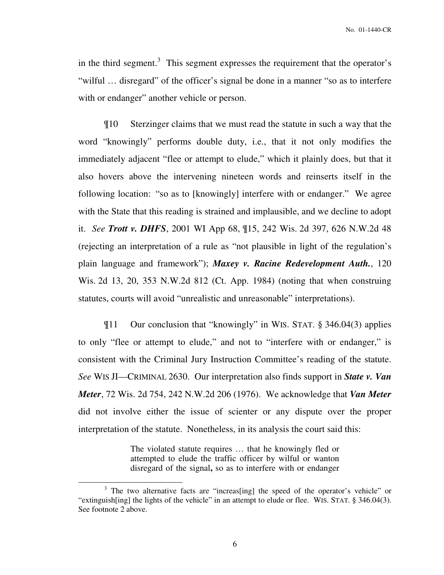in the third segment.<sup>3</sup> This segment expresses the requirement that the operator's "wilful … disregard" of the officer's signal be done in a manner "so as to interfere with or endanger" another vehicle or person.

¶10 Sterzinger claims that we must read the statute in such a way that the word "knowingly" performs double duty, i.e., that it not only modifies the immediately adjacent "flee or attempt to elude," which it plainly does, but that it also hovers above the intervening nineteen words and reinserts itself in the following location: "so as to [knowingly] interfere with or endanger." We agree with the State that this reading is strained and implausible, and we decline to adopt it. *See Trott v. DHFS*, 2001 WI App 68, ¶15, 242 Wis. 2d 397, 626 N.W.2d 48 (rejecting an interpretation of a rule as "not plausible in light of the regulation's plain language and framework"); *Maxey v. Racine Redevelopment Auth.*, 120 Wis. 2d 13, 20, 353 N.W.2d 812 (Ct. App. 1984) (noting that when construing statutes, courts will avoid "unrealistic and unreasonable" interpretations).

¶11 Our conclusion that "knowingly" in WIS. STAT. § 346.04(3) applies to only "flee or attempt to elude," and not to "interfere with or endanger," is consistent with the Criminal Jury Instruction Committee's reading of the statute. *See* WIS JI—CRIMINAL 2630. Our interpretation also finds support in *State v. Van Meter*, 72 Wis. 2d 754, 242 N.W.2d 206 (1976). We acknowledge that *Van Meter*  did not involve either the issue of scienter or any dispute over the proper interpretation of the statute. Nonetheless, in its analysis the court said this:

> The violated statute requires … that he knowingly fled or attempted to elude the traffic officer by wilful or wanton disregard of the signal**,** so as to interfere with or endanger

 $\overline{a}$ 

<sup>&</sup>lt;sup>3</sup> The two alternative facts are "increas[ing] the speed of the operator's vehicle" or "extinguish[ing] the lights of the vehicle" in an attempt to elude or flee. WIS. STAT. § 346.04(3). See footnote 2 above.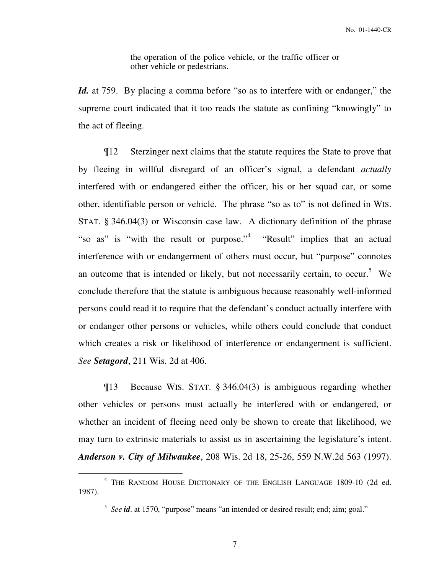the operation of the police vehicle, or the traffic officer or other vehicle or pedestrians.

*Id.* at 759. By placing a comma before "so as to interfere with or endanger," the supreme court indicated that it too reads the statute as confining "knowingly" to the act of fleeing.

¶12 Sterzinger next claims that the statute requires the State to prove that by fleeing in willful disregard of an officer's signal, a defendant *actually*  interfered with or endangered either the officer, his or her squad car, or some other, identifiable person or vehicle. The phrase "so as to" is not defined in WIS. STAT. § 346.04(3) or Wisconsin case law. A dictionary definition of the phrase "so as" is "with the result or purpose."<sup>4</sup> "Result" implies that an actual interference with or endangerment of others must occur, but "purpose" connotes an outcome that is intended or likely, but not necessarily certain, to occur.<sup>5</sup> We conclude therefore that the statute is ambiguous because reasonably well-informed persons could read it to require that the defendant's conduct actually interfere with or endanger other persons or vehicles, while others could conclude that conduct which creates a risk or likelihood of interference or endangerment is sufficient. *See Setagord*, 211 Wis. 2d at 406.

¶13 Because WIS. STAT. § 346.04(3) is ambiguous regarding whether other vehicles or persons must actually be interfered with or endangered, or whether an incident of fleeing need only be shown to create that likelihood, we may turn to extrinsic materials to assist us in ascertaining the legislature's intent. *Anderson v. City of Milwaukee*, 208 Wis. 2d 18, 25-26, 559 N.W.2d 563 (1997).

 $\overline{a}$ 

<sup>4</sup> THE RANDOM HOUSE DICTIONARY OF THE ENGLISH LANGUAGE 1809-10 (2d ed. 1987).

<sup>&</sup>lt;sup>5</sup> See *id*. at 1570, "purpose" means "an intended or desired result; end; aim; goal."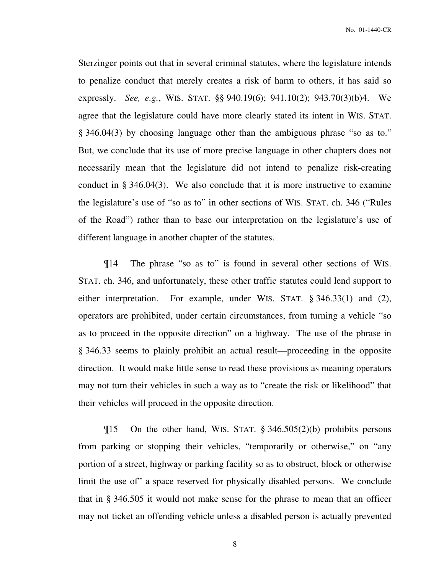Sterzinger points out that in several criminal statutes, where the legislature intends to penalize conduct that merely creates a risk of harm to others, it has said so expressly. *See, e.g.*, WIS. STAT. §§ 940.19(6); 941.10(2); 943.70(3)(b)4. We agree that the legislature could have more clearly stated its intent in WIS. STAT. § 346.04(3) by choosing language other than the ambiguous phrase "so as to." But, we conclude that its use of more precise language in other chapters does not necessarily mean that the legislature did not intend to penalize risk-creating conduct in § 346.04(3). We also conclude that it is more instructive to examine the legislature's use of "so as to" in other sections of WIS. STAT. ch. 346 ("Rules of the Road") rather than to base our interpretation on the legislature's use of different language in another chapter of the statutes.

¶14 The phrase "so as to" is found in several other sections of WIS. STAT. ch. 346, and unfortunately, these other traffic statutes could lend support to either interpretation. For example, under WIS. STAT. § 346.33(1) and (2), operators are prohibited, under certain circumstances, from turning a vehicle "so as to proceed in the opposite direction" on a highway. The use of the phrase in § 346.33 seems to plainly prohibit an actual result—proceeding in the opposite direction. It would make little sense to read these provisions as meaning operators may not turn their vehicles in such a way as to "create the risk or likelihood" that their vehicles will proceed in the opposite direction.

 $\P$ 15 On the other hand, WIS. STAT. § 346.505(2)(b) prohibits persons from parking or stopping their vehicles, "temporarily or otherwise," on "any portion of a street, highway or parking facility so as to obstruct, block or otherwise limit the use of" a space reserved for physically disabled persons. We conclude that in § 346.505 it would not make sense for the phrase to mean that an officer may not ticket an offending vehicle unless a disabled person is actually prevented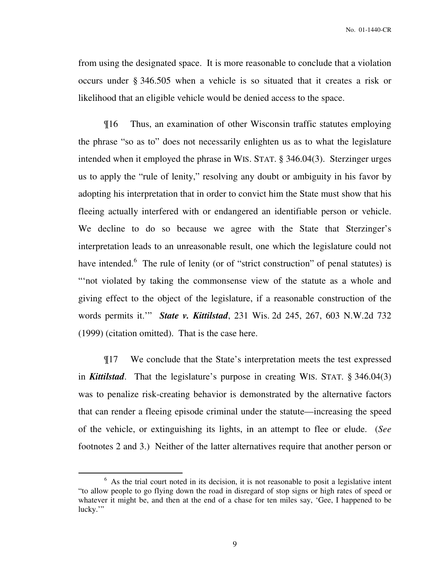from using the designated space. It is more reasonable to conclude that a violation occurs under § 346.505 when a vehicle is so situated that it creates a risk or likelihood that an eligible vehicle would be denied access to the space.

¶16 Thus, an examination of other Wisconsin traffic statutes employing the phrase "so as to" does not necessarily enlighten us as to what the legislature intended when it employed the phrase in WIS. STAT. § 346.04(3). Sterzinger urges us to apply the "rule of lenity," resolving any doubt or ambiguity in his favor by adopting his interpretation that in order to convict him the State must show that his fleeing actually interfered with or endangered an identifiable person or vehicle. We decline to do so because we agree with the State that Sterzinger's interpretation leads to an unreasonable result, one which the legislature could not have intended.<sup>6</sup> The rule of lenity (or of "strict construction" of penal statutes) is "not violated by taking the commonsense view of the statute as a whole and giving effect to the object of the legislature, if a reasonable construction of the words permits it.'" *State v. Kittilstad*, 231 Wis. 2d 245, 267, 603 N.W.2d 732 (1999) (citation omitted). That is the case here.

¶17 We conclude that the State's interpretation meets the test expressed in *Kittilstad*. That the legislature's purpose in creating WIS. STAT. § 346.04(3) was to penalize risk-creating behavior is demonstrated by the alternative factors that can render a fleeing episode criminal under the statute—increasing the speed of the vehicle, or extinguishing its lights, in an attempt to flee or elude. (*See* footnotes 2 and 3.) Neither of the latter alternatives require that another person or

 $\overline{a}$ 

 $6$  As the trial court noted in its decision, it is not reasonable to posit a legislative intent "to allow people to go flying down the road in disregard of stop signs or high rates of speed or whatever it might be, and then at the end of a chase for ten miles say, 'Gee, I happened to be lucky."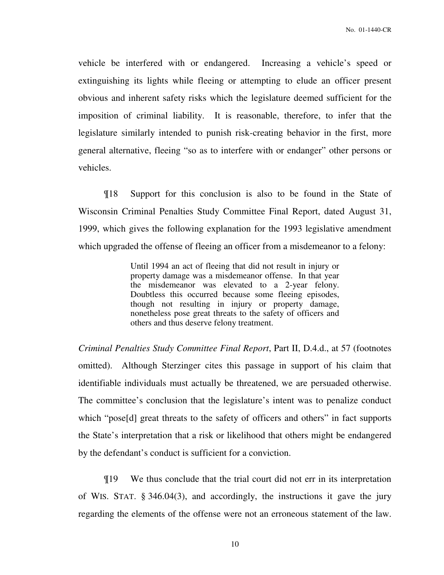vehicle be interfered with or endangered. Increasing a vehicle's speed or extinguishing its lights while fleeing or attempting to elude an officer present obvious and inherent safety risks which the legislature deemed sufficient for the imposition of criminal liability. It is reasonable, therefore, to infer that the legislature similarly intended to punish risk-creating behavior in the first, more general alternative, fleeing "so as to interfere with or endanger" other persons or vehicles.

¶18 Support for this conclusion is also to be found in the State of Wisconsin Criminal Penalties Study Committee Final Report, dated August 31, 1999, which gives the following explanation for the 1993 legislative amendment which upgraded the offense of fleeing an officer from a misdemeanor to a felony:

> Until 1994 an act of fleeing that did not result in injury or property damage was a misdemeanor offense. In that year the misdemeanor was elevated to a 2-year felony. Doubtless this occurred because some fleeing episodes, though not resulting in injury or property damage, nonetheless pose great threats to the safety of officers and others and thus deserve felony treatment.

*Criminal Penalties Study Committee Final Report*, Part II, D.4.d., at 57 (footnotes omitted). Although Sterzinger cites this passage in support of his claim that identifiable individuals must actually be threatened, we are persuaded otherwise. The committee's conclusion that the legislature's intent was to penalize conduct which "pose<sup>[d]</sup> great threats to the safety of officers and others" in fact supports the State's interpretation that a risk or likelihood that others might be endangered by the defendant's conduct is sufficient for a conviction.

¶19 We thus conclude that the trial court did not err in its interpretation of WIS. STAT. § 346.04(3), and accordingly, the instructions it gave the jury regarding the elements of the offense were not an erroneous statement of the law.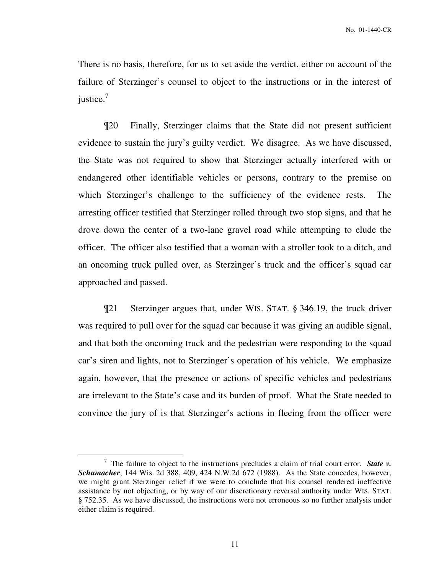There is no basis, therefore, for us to set aside the verdict, either on account of the failure of Sterzinger's counsel to object to the instructions or in the interest of justice. $<sup>7</sup>$ </sup>

¶20 Finally, Sterzinger claims that the State did not present sufficient evidence to sustain the jury's guilty verdict. We disagree. As we have discussed, the State was not required to show that Sterzinger actually interfered with or endangered other identifiable vehicles or persons, contrary to the premise on which Sterzinger's challenge to the sufficiency of the evidence rests. The arresting officer testified that Sterzinger rolled through two stop signs, and that he drove down the center of a two-lane gravel road while attempting to elude the officer. The officer also testified that a woman with a stroller took to a ditch, and an oncoming truck pulled over, as Sterzinger's truck and the officer's squad car approached and passed.

¶21 Sterzinger argues that, under WIS. STAT. § 346.19, the truck driver was required to pull over for the squad car because it was giving an audible signal, and that both the oncoming truck and the pedestrian were responding to the squad car's siren and lights, not to Sterzinger's operation of his vehicle. We emphasize again, however, that the presence or actions of specific vehicles and pedestrians are irrelevant to the State's case and its burden of proof. What the State needed to convince the jury of is that Sterzinger's actions in fleeing from the officer were

 $\overline{a}$ 

<sup>7</sup> The failure to object to the instructions precludes a claim of trial court error. *State v. Schumacher*, 144 Wis. 2d 388, 409, 424 N.W.2d 672 (1988). As the State concedes, however, we might grant Sterzinger relief if we were to conclude that his counsel rendered ineffective assistance by not objecting, or by way of our discretionary reversal authority under WIS. STAT. § 752.35. As we have discussed, the instructions were not erroneous so no further analysis under either claim is required.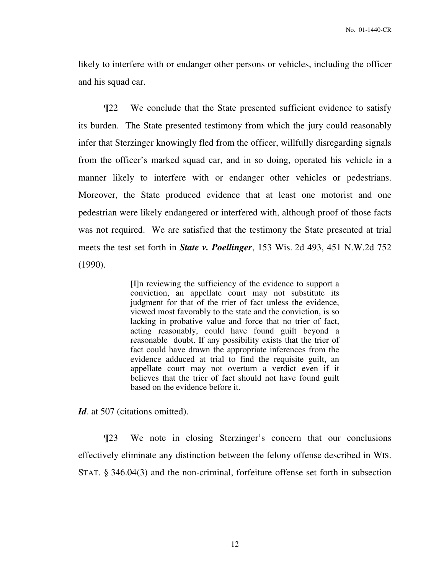likely to interfere with or endanger other persons or vehicles, including the officer and his squad car.

¶22 We conclude that the State presented sufficient evidence to satisfy its burden. The State presented testimony from which the jury could reasonably infer that Sterzinger knowingly fled from the officer, willfully disregarding signals from the officer's marked squad car, and in so doing, operated his vehicle in a manner likely to interfere with or endanger other vehicles or pedestrians. Moreover, the State produced evidence that at least one motorist and one pedestrian were likely endangered or interfered with, although proof of those facts was not required. We are satisfied that the testimony the State presented at trial meets the test set forth in *State v. Poellinger*, 153 Wis. 2d 493, 451 N.W.2d 752 (1990).

> [I]n reviewing the sufficiency of the evidence to support a conviction, an appellate court may not substitute its judgment for that of the trier of fact unless the evidence, viewed most favorably to the state and the conviction, is so lacking in probative value and force that no trier of fact, acting reasonably, could have found guilt beyond a reasonable doubt. If any possibility exists that the trier of fact could have drawn the appropriate inferences from the evidence adduced at trial to find the requisite guilt, an appellate court may not overturn a verdict even if it believes that the trier of fact should not have found guilt based on the evidence before it.

Id. at 507 (citations omitted).

¶23 We note in closing Sterzinger's concern that our conclusions effectively eliminate any distinction between the felony offense described in WIS. STAT. § 346.04(3) and the non-criminal, forfeiture offense set forth in subsection